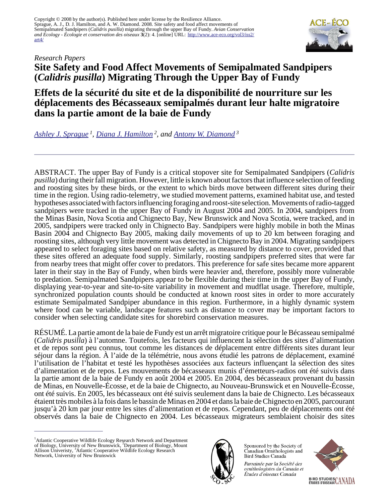Copyright © 2008 by the author(s). Published here under license by the Resilience Alliance. Sprague, A. J., D. J. Hamilton, and A. W. Diamond. 2008. Site safety and food affect movements of Semipalmated Sandpipers (*Calidris pusilla*) migrating through the upper Bay of Fundy. *Avian Conservation and Ecology - Écologie et conservation des oiseaux* **3**(2): 4. [online] URL: [http://www.ace-eco.org/vol3/iss2/](http://www.ace-eco.org/vol3/iss2/art4/) [art4/](http://www.ace-eco.org/vol3/iss2/art4/)



# *Research Papers* **Site Safety and Food Affect Movements of Semipalmated Sandpipers (***Calidris pusilla***) Migrating Through the Upper Bay of Fundy**

**Effets de la sécurité du site et de la disponibilité de nourriture sur les déplacements des Bécasseaux semipalmés durant leur halte migratoire dans la partie amont de la baie de Fundy**

*[Ashley J. Sprague](mailto:marine@cpawsns.org)<sup>1</sup> , [Diana J. Hamilton](mailto:dhamilton@mta.ca)<sup>2</sup>, and [Antony W. Diamond](mailto:diamond@unb.ca)<sup>3</sup>*

ABSTRACT. The upper Bay of Fundy is a critical stopover site for Semipalmated Sandpipers (*Calidris pusilla*) during their fall migration. However, little is known about factors that influence selection of feeding and roosting sites by these birds, or the extent to which birds move between different sites during their time in the region. Using radio-telemetry, we studied movement patterns, examined habitat use, and tested hypotheses associated with factors influencing foraging and roost-site selection. Movements of radio-tagged sandpipers were tracked in the upper Bay of Fundy in August 2004 and 2005. In 2004, sandpipers from the Minas Basin, Nova Scotia and Chignecto Bay, New Brunswick and Nova Scotia, were tracked, and in 2005, sandpipers were tracked only in Chignecto Bay. Sandpipers were highly mobile in both the Minas Basin 2004 and Chignecto Bay 2005, making daily movements of up to 20 km between foraging and roosting sites, although very little movement was detected in Chignecto Bay in 2004. Migrating sandpipers appeared to select foraging sites based on relative safety, as measured by distance to cover, provided that these sites offered an adequate food supply. Similarly, roosting sandpipers preferred sites that were far from nearby trees that might offer cover to predators. This preference for safe sites became more apparent later in their stay in the Bay of Fundy, when birds were heavier and, therefore, possibly more vulnerable to predation. Semipalmated Sandpipers appear to be flexible during their time in the upper Bay of Fundy, displaying year-to-year and site-to-site variability in movement and mudflat usage. Therefore, multiple, synchronized population counts should be conducted at known roost sites in order to more accurately estimate Semipalmated Sandpiper abundance in this region. Furthermore, in a highly dynamic system where food can be variable, landscape features such as distance to cover may be important factors to consider when selecting candidate sites for shorebird conservation measures.

RÉSUMÉ. La partie amont de la baie de Fundy est un arrêt migratoire critique pour le Bécasseau semipalmé (*Calidris pusilla*) à l'automne. Toutefois, les facteurs qui influencent la sélection des sites d'alimentation et de repos sont peu connus, tout comme les distances de déplacement entre différents sites durant leur séjour dans la région. À l'aide de la télémétrie, nous avons étudié les patrons de déplacement, examiné l'utilisation de l'habitat et testé les hypothèses associées aux facteurs influençant la sélection des sites d'alimentation et de repos. Les mouvements de bécasseaux munis d'émetteurs-radios ont été suivis dans la partie amont de la baie de Fundy en août 2004 et 2005. En 2004, des bécasseaux provenant du bassin de Minas, en Nouvelle-Écosse, et de la baie de Chignecto, au Nouveau-Brunswick et en Nouvelle-Écosse, ont été suivis. En 2005, les bécasseaux ont été suivis seulement dans la baie de Chignecto. Les bécasseaux étaient très mobiles à la fois dans le bassin de Minas en 2004 et dans la baie de Chignecto en 2005, parcourant jusqu'à 20 km par jour entre les sites d'alimentation et de repos. Cependant, peu de déplacements ont été observés dans la baie de Chignecto en 2004. Les bécasseaux migrateurs semblaient choisir des sites

<sup>&</sup>lt;sup>1</sup> Atlantic Cooperative Wildlife Ecology Research Network and Department of Biology, University of New Brunswick, <sup>2</sup>Department of Biology, Mount Allison Univeristy, <sup>3</sup>Atlantic Cooperative Wildlife Ecology Research Network, University of New Brunswick



Sponsored by the Society of Canadian Ornithologists and Bird Studies Canada

Parrainée par la Société des ornithologistes du Canada et Études d'oiseaux Canada

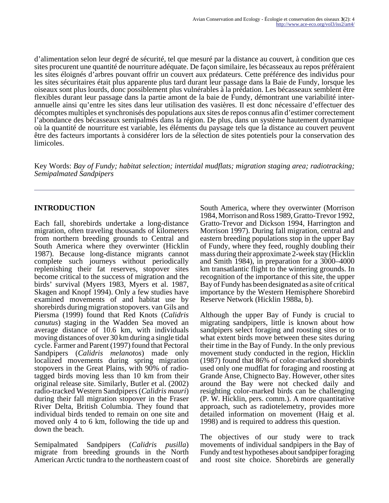d'alimentation selon leur degré de sécurité, tel que mesuré par la distance au couvert, à condition que ces sites procurent une quantité de nourriture adéquate. De façon similaire, les bécasseaux au repos préféraient les sites éloignés d'arbres pouvant offrir un couvert aux prédateurs. Cette préférence des individus pour les sites sécuritaires était plus apparente plus tard durant leur passage dans la Baie de Fundy, lorsque les oiseaux sont plus lourds, donc possiblement plus vulnérables à la prédation. Les bécasseaux semblent être flexibles durant leur passage dans la partie amont de la baie de Fundy, démontrant une variabilité interannuelle ainsi qu'entre les sites dans leur utilisation des vasières. Il est donc nécessaire d'effectuer des décomptes multiples et synchronisés des populations aux sites de repos connus afin d'estimer correctement l'abondance des bécasseaux semipalmés dans la région. De plus, dans un système hautement dynamique où la quantité de nourriture est variable, les éléments du paysage tels que la distance au couvert peuvent être des facteurs importants à considérer lors de la sélection de sites potentiels pour la conservation des limicoles.

Key Words: *Bay of Fundy; habitat selection; intertidal mudflats; migration staging area; radiotracking; Semipalmated Sandpipers*

## **INTRODUCTION**

Each fall, shorebirds undertake a long-distance migration, often traveling thousands of kilometers from northern breeding grounds to Central and South America where they overwinter (Hicklin 1987). Because long-distance migrants cannot complete such journeys without periodically replenishing their fat reserves, stopover sites become critical to the success of migration and the birds' survival (Myers 1983, Myers et al. 1987, Skagen and Knopf 1994). Only a few studies have examined movements of and habitat use by shorebirds during migration stopovers. van Gils and Piersma (1999) found that Red Knots (*Calidris canutus*) staging in the Wadden Sea moved an average distance of 10.6 km, with individuals moving distances of over 30 km during a single tidal cycle. Farmer and Parent (1997) found that Pectoral Sandpipers (*Calidris melanotos*) made only localized movements during spring migration stopovers in the Great Plains, with 90% of radiotagged birds moving less than 10 km from their original release site. Similarly, Butler et al. (2002) radio-tracked Western Sandpipers (*Calidris mauri*) during their fall migration stopover in the Fraser River Delta, British Columbia. They found that individual birds tended to remain on one site and moved only 4 to 6 km, following the tide up and down the beach.

Semipalmated Sandpipers (*Calidris pusilla*) migrate from breeding grounds in the North American Arctic tundra to the northeastern coast of South America, where they overwinter (Morrison 1984, Morrison and Ross 1989, Gratto-Trevor 1992, Gratto-Trevor and Dickson 1994, Harrington and Morrison 1997). During fall migration, central and eastern breeding populations stop in the upper Bay of Fundy, where they feed, roughly doubling their mass during their approximate 2-week stay (Hicklin and Smith 1984), in preparation for a 3000–4000 km transatlantic flight to the wintering grounds. In recognition of the importance of this site, the upper Bay of Fundy has been designated as a site of critical importance by the Western Hemisphere Shorebird Reserve Network (Hicklin 1988a, b).

Although the upper Bay of Fundy is crucial to migrating sandpipers, little is known about how sandpipers select foraging and roosting sites or to what extent birds move between these sites during their time in the Bay of Fundy. In the only previous movement study conducted in the region, Hicklin (1987) found that 86% of color-marked shorebirds used only one mudflat for foraging and roosting at Grande Anse, Chignecto Bay. However, other sites around the Bay were not checked daily and resighting color-marked birds can be challenging (P. W. Hicklin, pers. comm.). A more quantitative approach, such as radiotelemetry, provides more detailed information on movement (Haig et al. 1998) and is required to address this question.

The objectives of our study were to track movements of individual sandpipers in the Bay of Fundy and test hypotheses about sandpiper foraging and roost site choice. Shorebirds are generally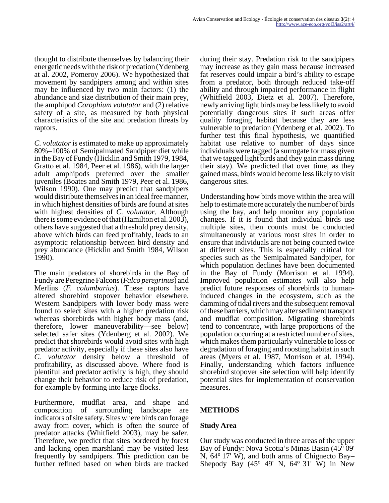thought to distribute themselves by balancing their energetic needs with the risk of predation (Ydenberg at al. 2002, Pomeroy 2006). We hypothesized that movement by sandpipers among and within sites may be influenced by two main factors: (1) the abundance and size distribution of their main prey, the amphipod *Corophium volutator* and (2) relative safety of a site, as measured by both physical characteristics of the site and predation threats by raptors.

*C. volutator* is estimated to make up approximately 80%–100% of Semipalmated Sandpiper diet while in the Bay of Fundy (Hicklin and Smith 1979, 1984, Gratto et al. 1984, Peer et al. 1986), with the larger adult amphipods preferred over the smaller juveniles (Boates and Smith 1979, Peer et al. 1986, Wilson 1990). One may predict that sandpipers would distribute themselves in an ideal free manner, in which highest densities of birds are found at sites with highest densities of *C. volutator*. Although there is some evidence of that (Hamilton et al. 2003), others have suggested that a threshold prey density, above which birds can feed profitably, leads to an asymptotic relationship between bird density and prey abundance (Hicklin and Smith 1984, Wilson 1990).

The main predators of shorebirds in the Bay of Fundy are Peregrine Falcons (*Falco peregrinus*) and Merlins (*F. columbarius*). These raptors have altered shorebird stopover behavior elsewhere. Western Sandpipers with lower body mass were found to select sites with a higher predation risk whereas shorebirds with higher body mass (and, therefore, lower maneuverability—see below) selected safer sites (Ydenberg et al. 2002). We predict that shorebirds would avoid sites with high predator activity, especially if these sites also have *C. volutator* density below a threshold of profitability, as discussed above. Where food is plentiful and predator activity is high, they should change their behavior to reduce risk of predation, for example by forming into large flocks.

Furthermore, mudflat area, and shape and composition of surrounding landscape are indicators of site safety. Sites where birds can forage away from cover, which is often the source of predator attacks (Whitfield 2003), may be safer. Therefore, we predict that sites bordered by forest and lacking open marshland may be visited less frequently by sandpipers. This prediction can be further refined based on when birds are tracked

during their stay. Predation risk to the sandpipers may increase as they gain mass because increased fat reserves could impair a bird's ability to escape from a predator, both through reduced take-off ability and through impaired performance in flight (Whitfield 2003, Dietz et al. 2007). Therefore, newly arriving light birds may be less likely to avoid potentially dangerous sites if such areas offer quality foraging habitat because they are less vulnerable to predation (Ydenberg et al. 2002). To further test this final hypothesis, we quantified habitat use relative to number of days since individuals were tagged (a surrogate for mass given that we tagged light birds and they gain mass during their stay). We predicted that over time, as they gained mass, birds would become less likely to visit dangerous sites.

Understanding how birds move within the area will help to estimate more accurately the number of birds using the bay, and help monitor any population changes. If it is found that individual birds use multiple sites, then counts must be conducted simultaneously at various roost sites in order to ensure that individuals are not being counted twice at different sites. This is especially critical for species such as the Semipalmated Sandpiper, for which population declines have been documented in the Bay of Fundy (Morrison et al. 1994). Improved population estimates will also help predict future responses of shorebirds to humaninduced changes in the ecosystem, such as the damming of tidal rivers and the subsequent removal of these barriers, which may alter sediment transport and mudflat composition. Migrating shorebirds tend to concentrate, with large proportions of the population occurring at a restricted number of sites, which makes them particularly vulnerable to loss or degradation of foraging and roosting habitat in such areas (Myers et al. 1987, Morrison et al. 1994). Finally, understanding which factors influence shorebird stopover site selection will help identify potential sites for implementation of conservation measures.

## **METHODS**

## **Study Area**

Our study was conducted in three areas of the upper Bay of Fundy: Nova Scotia's Minas Basin (45<sup>o</sup> 09' N,  $64^{\circ}$  17' W), and both arms of Chignecto Bay– Shepody Bay (45 $\degree$  49' N, 64 $\degree$  31' W) in New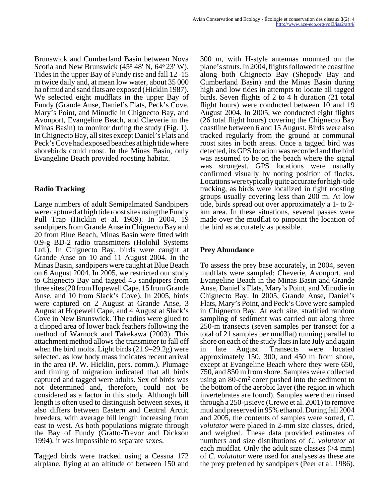Brunswick and Cumberland Basin between Nova Scotia and New Brunswick (45° 48' N, 64° 23' W). Tides in the upper Bay of Fundy rise and fall 12–15 m twice daily and, at mean low water, about 35 000 ha of mud and sand flats are exposed (Hicklin 1987). We selected eight mudflats in the upper Bay of Fundy (Grande Anse, Daniel's Flats, Peck's Cove, Mary's Point, and Minudie in Chignecto Bay, and Avonport, Evangeline Beach, and Cheverie in the Minas Basin) to monitor during the study (Fig. 1). In Chignecto Bay, all sites except Daniel's Flats and Peck's Cove had exposed beaches at high tide where shorebirds could roost. In the Minas Basin, only Evangeline Beach provided roosting habitat.

## **Radio Tracking**

Large numbers of adult Semipalmated Sandpipers were captured at high tide roost sites using the Fundy Pull Trap (Hicklin et al. 1989). In 2004, 19 sandpipers from Grande Anse in Chignecto Bay and 20 from Blue Beach, Minas Basin were fitted with 0.9-g BD-2 radio transmitters (Holohil Systems Ltd.). In Chignecto Bay, birds were caught at Grande Anse on 10 and 11 August 2004. In the Minas Basin, sandpipers were caught at Blue Beach on 6 August 2004. In 2005, we restricted our study to Chignecto Bay and tagged 45 sandpipers from three sites (20 from Hopewell Cape, 15 from Grande Anse, and 10 from Slack's Cove). In 2005, birds were captured on 2 August at Grande Anse, 3 August at Hopewell Cape, and 4 August at Slack's Cove in New Brunswick. The radios were glued to a clipped area of lower back feathers following the method of Warnock and Takekawa (2003). This attachment method allows the transmitter to fall off when the bird molts. Light birds (21.9–29.2g) were selected, as low body mass indicates recent arrival in the area (P. W. Hicklin, pers. comm.). Plumage and timing of migration indicated that all birds captured and tagged were adults. Sex of birds was not determined and, therefore, could not be considered as a factor in this study. Although bill length is often used to distinguish between sexes, it also differs between Eastern and Central Arctic breeders, with average bill length increasing from east to west. As both populations migrate through the Bay of Fundy (Gratto-Trevor and Dickson 1994), it was impossible to separate sexes.

Tagged birds were tracked using a Cessna 172 airplane, flying at an altitude of between 150 and 300 m, with H-style antennas mounted on the plane's struts. In 2004, flights followed the coastline along both Chignecto Bay (Shepody Bay and Cumberland Basin) and the Minas Basin during high and low tides in attempts to locate all tagged birds. Seven flights of 2 to 4 h duration (21 total flight hours) were conducted between 10 and 19 August 2004. In 2005, we conducted eight flights (26 total flight hours) covering the Chignecto Bay coastline between 6 and 15 August. Birds were also tracked regularly from the ground at communal roost sites in both areas. Once a tagged bird was detected, its GPS location was recorded and the bird was assumed to be on the beach where the signal was strongest. GPS locations were usually confirmed visually by noting position of flocks. Locations were typically quite accurate for high-tide tracking, as birds were localized in tight roosting groups usually covering less than 200 m. At low tide, birds spread out over approximately a 1- to 2 km area. In these situations, several passes were made over the mudflat to pinpoint the location of the bird as accurately as possible.

## **Prey Abundance**

To assess the prey base accurately, in 2004, seven mudflats were sampled: Cheverie, Avonport, and Evangeline Beach in the Minas Basin and Grande Anse, Daniel's Flats, Mary's Point, and Minudie in Chignecto Bay. In 2005, Grande Anse, Daniel's Flats, Mary's Point, and Peck's Cove were sampled in Chignecto Bay. At each site, stratified random sampling of sediment was carried out along three 250-m transects (seven samples per transect for a total of 21 samples per mudflat) running parallel to shore on each of the study flats in late July and again in late August. Transects were located approximately 150, 300, and 450 m from shore, except at Evangeline Beach where they were 650, 750, and 850 m from shore. Samples were collected using an 80-cm<sup>2</sup> corer pushed into the sediment to the bottom of the aerobic layer (the region in which invertebrates are found). Samples were then rinsed through a 250-µ sieve (Crewe et al. 2001) to remove mud and preserved in 95% ethanol. During fall 2004 and 2005, the contents of samples were sorted, *C. volutator* were placed in 2-mm size classes, dried, and weighed. These data provided estimates of numbers and size distributions of *C. volutator* at each mudflat. Only the adult size classes (>4 mm) of *C. volutator* were used for analyses as these are the prey preferred by sandpipers (Peer et al. 1986).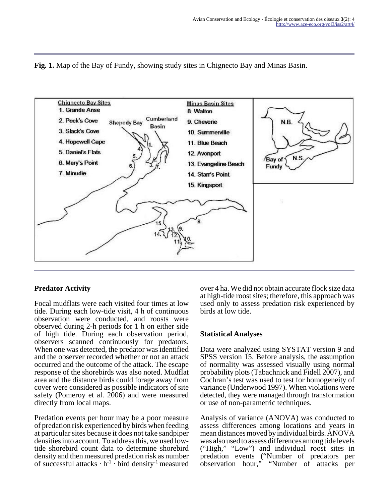



## **Predator Activity**

Focal mudflats were each visited four times at low tide. During each low-tide visit, 4 h of continuous observation were conducted, and roosts were observed during 2-h periods for 1 h on either side of high tide. During each observation period, observers scanned continuously for predators. When one was detected, the predator was identified and the observer recorded whether or not an attack occurred and the outcome of the attack. The escape response of the shorebirds was also noted. Mudflat area and the distance birds could forage away from cover were considered as possible indicators of site safety (Pomeroy et al. 2006) and were measured directly from local maps.

Predation events per hour may be a poor measure of predation risk experienced by birds when feeding at particular sites because it does not take sandpiper densities into account. To address this, we used lowtide shorebird count data to determine shorebird density and then measured predation risk as number of successful attacks  $\cdot$  h<sup>-1</sup>  $\cdot$  bird density<sup>-1</sup> measured over 4 ha. We did not obtain accurate flock size data at high-tide roost sites; therefore, this approach was used only to assess predation risk experienced by birds at low tide.

#### **Statistical Analyses**

Data were analyzed using SYSTAT version 9 and SPSS version 15. Before analysis, the assumption of normality was assessed visually using normal probability plots (Tabachnick and Fidell 2007), and Cochran's test was used to test for homogeneity of variance (Underwood 1997). When violations were detected, they were managed through transformation or use of non-parametric techniques.

Analysis of variance (ANOVA) was conducted to assess differences among locations and years in mean distances moved by individual birds. ANOVA was also used to assess differences among tide levels ("High," "Low") and individual roost sites in predation events ("Number of predators per observation hour," "Number of attacks per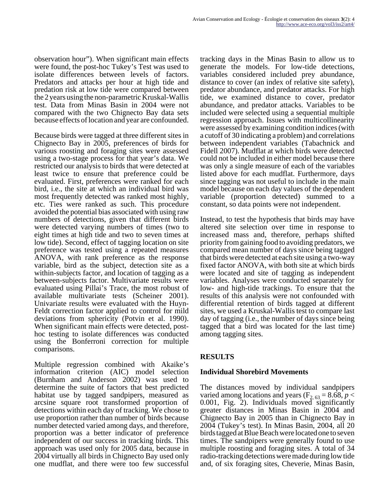observation hour"). When significant main effects were found, the post-hoc Tukey's Test was used to isolate differences between levels of factors. Predators and attacks per hour at high tide and predation risk at low tide were compared between the 2 years using the non-parametric Kruskal-Wallis test. Data from Minas Basin in 2004 were not compared with the two Chignecto Bay data sets because effects of location and year are confounded.

Because birds were tagged at three different sites in Chignecto Bay in 2005, preferences of birds for various roosting and foraging sites were assessed using a two-stage process for that year's data. We restricted our analysis to birds that were detected at least twice to ensure that preference could be evaluated. First, preferences were ranked for each bird, i.e., the site at which an individual bird was most frequently detected was ranked most highly, etc. Ties were ranked as such. This procedure avoided the potential bias associated with using raw numbers of detections, given that different birds were detected varying numbers of times (two to eight times at high tide and two to seven times at low tide). Second, effect of tagging location on site preference was tested using a repeated measures ANOVA, with rank preference as the response variable, bird as the subject, detection site as a within-subjects factor, and location of tagging as a between-subjects factor. Multivariate results were evaluated using Pillai's Trace, the most robust of available multivariate tests (Scheiner 2001). Univariate results were evaluated with the Huyn-Feldt correction factor applied to control for mild deviations from sphericity (Potvin et al. 1990). When significant main effects were detected, posthoc testing to isolate differences was conducted using the Bonferroni correction for multiple comparisons.

Multiple regression combined with Akaike's information criterion (AIC) model selection (Burnham and Anderson 2002) was used to determine the suite of factors that best predicted habitat use by tagged sandpipers, measured as arcsine square root transformed proportion of detections within each day of tracking. We chose to use proportion rather than number of birds because number detected varied among days, and therefore, proportion was a better indicator of preference independent of our success in tracking birds. This approach was used only for 2005 data, because in 2004 virtually all birds in Chignecto Bay used only one mudflat, and there were too few successful

tracking days in the Minas Basin to allow us to generate the models. For low-tide detections, variables considered included prey abundance, distance to cover (an index of relative site safety), predator abundance, and predator attacks. For high tide, we examined distance to cover, predator abundance, and predator attacks. Variables to be included were selected using a sequential multiple regression approach. Issues with multicollinearity were assessed by examining condition indices (with a cutoff of 30 indicating a problem) and correlations between independent variables (Tabachnick and Fidell 2007). Mudflat at which birds were detected could not be included in either model because there was only a single measure of each of the variables listed above for each mudflat. Furthermore, days since tagging was not useful to include in the main model because on each day values of the dependent variable (proportion detected) summed to a constant, so data points were not independent.

Instead, to test the hypothesis that birds may have altered site selection over time in response to increased mass and, therefore, perhaps shifted priority from gaining food to avoiding predators, we compared mean number of days since being tagged that birds were detected at each site using a two-way fixed factor ANOVA, with both site at which birds were located and site of tagging as independent variables. Analyses were conducted separately for low- and high-tide trackings. To ensure that the results of this analysis were not confounded with differential retention of birds tagged at different sites, we used a Kruskal-Wallis test to compare last day of tagging (i.e., the number of days since being tagged that a bird was located for the last time) among tagging sites.

## **RESULTS**

## **Individual Shorebird Movements**

The distances moved by individual sandpipers varied among locations and years ( $F_{2, 63} = 8.68$ ,  $p <$ 0.001, Fig. 2). Individuals moved significantly greater distances in Minas Basin in 2004 and Chignecto Bay in 2005 than in Chignecto Bay in 2004 (Tukey's test). In Minas Basin, 2004, all 20 birds tagged at Blue Beach were located one to seven times. The sandpipers were generally found to use multiple roosting and foraging sites. A total of 34 radio-tracking detections were made during low tide and, of six foraging sites, Cheverie, Minas Basin,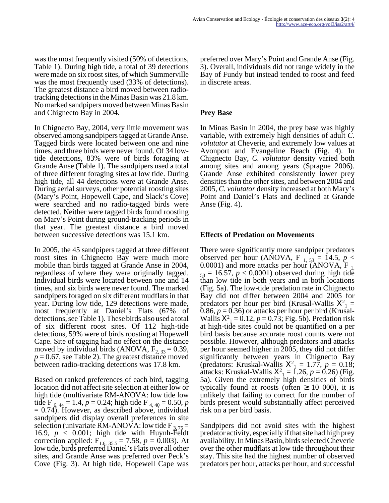was the most frequently visited (50% of detections, Table 1). During high tide, a total of 39 detections were made on six roost sites, of which Summerville was the most frequently used (33% of detections). The greatest distance a bird moved between radiotracking detections in the Minas Basin was 21.8 km. No marked sandpipers moved between Minas Basin and Chignecto Bay in 2004.

In Chignecto Bay, 2004, very little movement was observed among sandpipers tagged at Grande Anse. Tagged birds were located between one and nine times, and three birds were never found. Of 34 lowtide detections, 83% were of birds foraging at Grande Anse (Table 1). The sandpipers used a total of three different foraging sites at low tide. During high tide, all 44 detections were at Grande Anse. During aerial surveys, other potential roosting sites (Mary's Point, Hopewell Cape, and Slack's Cove) were searched and no radio-tagged birds were detected. Neither were tagged birds found roosting on Mary's Point during ground-tracking periods in that year. The greatest distance a bird moved between successive detections was 15.1 km.

In 2005, the 45 sandpipers tagged at three different roost sites in Chignecto Bay were much more mobile than birds tagged at Grande Anse in 2004, regardless of where they were originally tagged. Individual birds were located between one and 14 times, and six birds were never found. The marked sandpipers foraged on six different mudflats in that year. During low tide, 129 detections were made, most frequently at Daniel's Flats (67% of detections, see Table 1). These birds also used a total of six different roost sites. Of 112 high-tide detections, 59% were of birds roosting at Hopewell Cape. Site of tagging had no effect on the distance moved by individual birds (ANOVA,  $F_{2, 33} = 0.39$ ,  $p = 0.67$ , see Table 2). The greatest distance moved between radio-tracking detections was 17.8 km.

Based on ranked preferences of each bird, tagging location did not affect site selection at either low or high tide (multivariate RM-ANOVA: low tide low tide F<sub>6, 44</sub> = 1.4,  $p = 0.24$ ; high tide F<sub>4, 40</sub> = 0.50,  $p$  $= 0.74$ ). However, as described above, individual sandpipers did display overall preferences in site selection (univariate RM-ANOVA: low tide  $F_{3,75}$  = 16.9,  $p < 0.001$ ; high tide with Huynh-Feldt correction applied:  $F_{1.6, 35.5} = 7.58$ ,  $p = 0.003$ ). At low tide, birds preferred Daniel's Flats over all other sites, and Grande Anse was preferred over Peck's Cove (Fig. 3). At high tide, Hopewell Cape was preferred over Mary's Point and Grande Anse (Fig. 3). Overall, individuals did not range widely in the Bay of Fundy but instead tended to roost and feed in discrete areas.

### **Prey Base**

In Minas Basin in 2004, the prey base was highly variable, with extremely high densities of adult *C. volutator* at Cheverie, and extremely low values at Avonport and Evangeline Beach (Fig. 4). In Chignecto Bay, *C. volutator* density varied both among sites and among years (Sprague 2006). Grande Anse exhibited consistently lower prey densities than the other sites, and between 2004 and 2005, *C. volutator* density increased at both Mary's Point and Daniel's Flats and declined at Grande Anse (Fig. 4).

#### **Effects of Predation on Movements**

There were significantly more sandpiper predators observed per hour (ANOVA, F<sub>1, 53</sub> = 14.5,  $p <$ 0.0001) and more attacks per hour  $\check{(ANOVA, F]}$  $_{53}$  = 16.57,  $p < 0.0001$ ) observed during high tide than low tide in both years and in both locations (Fig. 5a). The low-tide predation rate in Chignecto Bay did not differ between 2004 and 2005 for predators per hour per bird (Krusal-Wallis  $X^2$ <sub>1</sub> = 0.86,  $p = 0.36$ ) or attacks per hour per bird (Krusal-Wallis  $X^2 = 0.12$ ,  $p = 0.73$ ; Fig. 5b). Predation risk at high-tide sites could not be quantified on a per bird basis because accurate roost counts were not possible. However, although predators and attacks per hour seemed higher in 2005, they did not differ significantly between years in Chignecto Bay (predators: Kruskal-Wallis  $X^2 = 1.77$ ,  $p = 0.18$ ; attacks: Kruskal-Wallis  $X^2 = 1.26$ ,  $p = 0.26$ ) (Fig. 5a). Given the extremely high densities of birds typically found at roosts (often  $\geq$  10 000), it is unlikely that failing to correct for the number of birds present would substantially affect perceived risk on a per bird basis.

Sandpipers did not avoid sites with the highest predator activity, especially if that site had high prey availability. In Minas Basin, birds selected Cheverie over the other mudflats at low tide throughout their stay. This site had the highest number of observed predators per hour, attacks per hour, and successful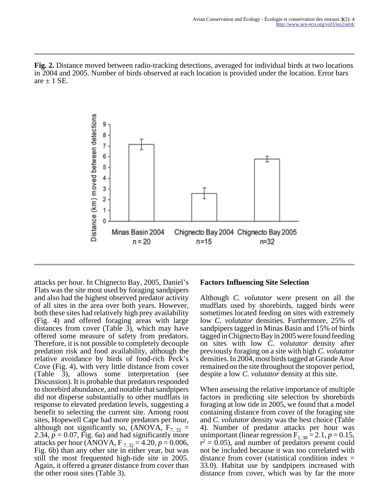**Fig. 2.** Distance moved between radio-tracking detections, averaged for individual birds at two locations in 2004 and 2005. Number of birds observed at each location is provided under the location. Error bars are  $\pm$  1 SE.



attacks per hour. In Chignecto Bay, 2005, Daniel's Flats was the site most used by foraging sandpipers and also had the highest observed predator activity of all sites in the area over both years. However, both these sites had relatively high prey availability (Fig. 4) and offered foraging areas with large distances from cover (Table 3), which may have offered some measure of safety from predators. Therefore, it is not possible to completely decouple predation risk and food availability, although the relative avoidance by birds of food-rich Peck's Cove (Fig. 4), with very little distance from cover (Table 3), allows some interpretation (see Discussion). It is probable that predators responded to shorebird abundance, and notable that sandpipers did not disperse substantially to other mudflats in response to elevated predation levels, suggesting a benefit to selecting the current site. Among roost sites, Hopewell Cape had more predators per hour, although not significantly so, (ANOVA,  $F_{7,32}$  = 2.34,  $p = 0.07$ , Fig. 6a) and had significantly more attacks per hour (ANOVA,  $F_{7,32} = 4.20, p = 0.006$ , Fig. 6b) than any other site in either year, but was still the most frequented high-tide site in 2005. Again, it offered a greater distance from cover than the other roost sites (Table 3).

#### **Factors Influencing Site Selection**

Although *C. volutator* were present on all the mudflats used by shorebirds, tagged birds were sometimes located feeding on sites with extremely low *C. volutator* densities. Furthermore, 25% of sandpipers tagged in Minas Basin and 15% of birds tagged in Chignecto Bay in 2005 were found feeding on sites with low *C. volutator* density after previously foraging on a site with high *C. volutator* densities. In 2004, most birds tagged at Grande Anse remained on the site throughout the stopover period, despite a low *C. volutator* density at this site.

When assessing the relative importance of multiple factors in predicting site selection by shorebirds foraging at low tide in 2005, we found that a model containing distance from cover of the foraging site and *C. volutator* density was the best choice (Table 4). Number of predator attacks per hour was unimportant (linear regression  $F_{1, 38} = 2.1$ ,  $p = 0.15$ ,  $r^2 = 0.05$ ), and number of predators present could not be included because it was too correlated with distance from cover (statistical condition index = 33.0). Habitat use by sandpipers increased with distance from cover, which was by far the more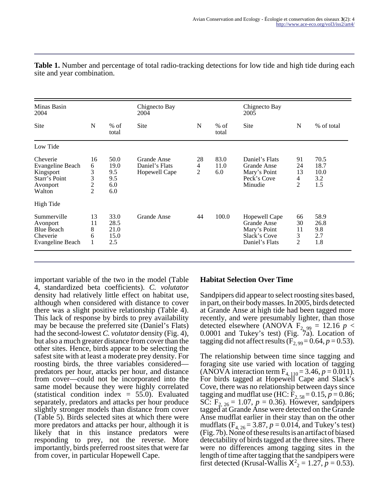| Minas Basin<br>2004                                                              |                                                 |                                          | Chignecto Bay<br>2004                          |                           |                     | Chignecto Bay<br>2005                                                                 |                                       |                                    |
|----------------------------------------------------------------------------------|-------------------------------------------------|------------------------------------------|------------------------------------------------|---------------------------|---------------------|---------------------------------------------------------------------------------------|---------------------------------------|------------------------------------|
| <b>Site</b>                                                                      | N                                               | $%$ of<br>total                          | Site                                           | N                         | $%$ of<br>total     | <b>Site</b>                                                                           | N                                     | % of total                         |
| Low Tide                                                                         |                                                 |                                          |                                                |                           |                     |                                                                                       |                                       |                                    |
| Cheverie<br>Evangeline Beach<br>Kingsport<br>Starr's Point<br>Avonport<br>Walton | 16<br>6<br>3<br>$\frac{3}{2}$<br>$\overline{2}$ | 50.0<br>19.0<br>9.5<br>9.5<br>6.0<br>6.0 | Grande Anse<br>Daniel's Flats<br>Hopewell Cape | 28<br>$\overline{4}$<br>2 | 83.0<br>11.0<br>6.0 | Daniel's Flats<br><b>Grande Anse</b><br>Mary's Point<br>Peck's Cove<br>Minudie        | 91<br>24<br>13<br>4<br>$\overline{2}$ | 70.5<br>18.7<br>10.0<br>3.2<br>1.5 |
| High Tide                                                                        |                                                 |                                          |                                                |                           |                     |                                                                                       |                                       |                                    |
| Summerville<br>Avonport<br><b>Blue Beach</b><br>Cheverie<br>Evangeline Beach     | 13<br>11<br>8<br>6<br>1                         | 33.0<br>28.5<br>21.0<br>15.0<br>2.5      | <b>Grande Anse</b>                             | 44                        | 100.0               | Hopewell Cape<br><b>Grande Anse</b><br>Mary's Point<br>Slack's Cove<br>Daniel's Flats | 66<br>30<br>11<br>3<br>2              | 58.9<br>26.8<br>9.8<br>2.7<br>1.8  |

**Table 1.** Number and percentage of total radio-tracking detections for low tide and high tide during each site and year combination.

important variable of the two in the model (Table 4, standardized beta coefficients). *C. volutator* density had relatively little effect on habitat use, although when considered with distance to cover there was a slight positive relationship (Table 4). This lack of response by birds to prey availability may be because the preferred site (Daniel's Flats) had the second-lowest *C. volutator* density (Fig. 4), but also a much greater distance from cover than the other sites. Hence, birds appear to be selecting the safest site with at least a moderate prey density. For roosting birds, the three variables considered predators per hour, attacks per hour, and distance from cover—could not be incorporated into the same model because they were highly correlated (statistical condition index  $= 55.0$ ). Evaluated separately, predators and attacks per hour produce slightly stronger models than distance from cover (Table 5). Birds selected sites at which there were more predators and attacks per hour, although it is likely that in this instance predators were responding to prey, not the reverse. More importantly, birds preferred roost sites that were far from cover, in particular Hopewell Cape.

#### **Habitat Selection Over Time**

Sandpipers did appear to select roosting sites based, in part, on their body masses. In 2005, birds detected at Grande Anse at high tide had been tagged more recently, and were presumably lighter, than those detected elsewhere (ANOVA  $F_{2, 99} = 12.16$  *p* < 0.0001 and Tukey's test) (Fig. 7a). Location of tagging did not affect results  $(F_{2, 99} = 0.64, p = 0.53)$ .

The relationship between time since tagging and foraging site use varied with location of tagging (ANOVA interaction term  $F_{4, 110} = 3.46, p = 0.011$ ). For birds tagged at Hopewell Cape and Slack's Cove, there was no relationship between days since tagging and mudflat use (HC:  $\bar{F}_{2,58} = 0.15, p = 0.86;$ SC:  $F_{{}_{2}, 26} = 1.07, p = 0.36$ . However, sandpipers tagged at Grande Anse were detected on the Grande Anse mudflat earlier in their stay than on the other mudflats  $(F_{4, 26} = 3.87, p = 0.014, \text{ and Tukey's test})$ (Fig. 7b). None of these results is an artifact of biased detectability of birds tagged at the three sites. There were no differences among tagging sites in the length of time after tagging that the sandpipers were first detected (Krusal-Wallis  $X^2 = 1.27$ ,  $p = 0.53$ ).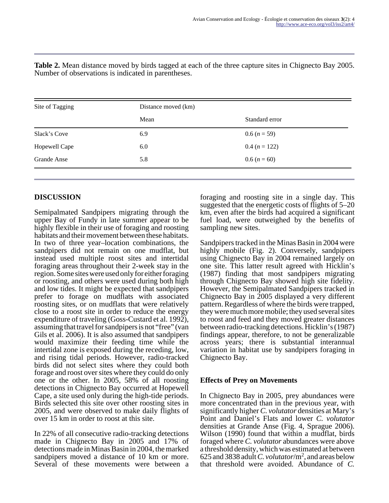| Site of Tagging    | Distance moved (km) |                 |
|--------------------|---------------------|-----------------|
|                    | Mean                | Standard error  |
| Slack's Cove       | 6.9                 | $0.6 (n = 59)$  |
| Hopewell Cape      | 6.0                 | $0.4 (n = 122)$ |
| <b>Grande Anse</b> | 5.8                 | $0.6 (n = 60)$  |

**Table 2.** Mean distance moved by birds tagged at each of the three capture sites in Chignecto Bay 2005. Number of observations is indicated in parentheses.

## **DISCUSSION**

Semipalmated Sandpipers migrating through the upper Bay of Fundy in late summer appear to be highly flexible in their use of foraging and roosting habitats and their movement between these habitats. In two of three year–location combinations, the sandpipers did not remain on one mudflat, but instead used multiple roost sites and intertidal foraging areas throughout their 2-week stay in the region. Some sites were used only for either foraging or roosting, and others were used during both high and low tides. It might be expected that sandpipers prefer to forage on mudflats with associated roosting sites, or on mudflats that were relatively close to a roost site in order to reduce the energy expenditure of traveling (Goss-Custard et al. 1992), assuming that travel for sandpipers is not "free" (van Gils et al. 2006). It is also assumed that sandpipers would maximize their feeding time while the intertidal zone is exposed during the receding, low, and rising tidal periods. However, radio-tracked birds did not select sites where they could both forage and roost over sites where they could do only one or the other. In 2005, 58% of all roosting detections in Chignecto Bay occurred at Hopewell Cape, a site used only during the high-tide periods. Birds selected this site over other roosting sites in 2005, and were observed to make daily flights of over 15 km in order to roost at this site.

In 22% of all consecutive radio-tracking detections made in Chignecto Bay in 2005 and 17% of detections made in Minas Basin in 2004, the marked sandpipers moved a distance of 10 km or more. Several of these movements were between a

foraging and roosting site in a single day. This suggested that the energetic costs of flights of 5–20 km, even after the birds had acquired a significant fuel load, were outweighed by the benefits of sampling new sites.

Sandpipers tracked in the Minas Basin in 2004 were highly mobile (Fig. 2). Conversely, sandpipers using Chignecto Bay in 2004 remained largely on one site. This latter result agreed with Hicklin's (1987) finding that most sandpipers migrating through Chignecto Bay showed high site fidelity. However, the Semipalmated Sandpipers tracked in Chignecto Bay in 2005 displayed a very different pattern. Regardless of where the birds were trapped, they were much more mobile; they used several sites to roost and feed and they moved greater distances between radio-tracking detections. Hicklin's (1987) findings appear, therefore, to not be generalizable across years; there is substantial interannual variation in habitat use by sandpipers foraging in Chignecto Bay.

## **Effects of Prey on Movements**

In Chignecto Bay in 2005, prey abundances were more concentrated than in the previous year, with significantly higher *C. volutator* densities at Mary's Point and Daniel's Flats and lower *C. volutator* densities at Grande Anse (Fig. 4, Sprague 2006). Wilson (1990) found that within a mudflat, birds foraged where *C. volutator* abundances were above a threshold density, which was estimated at between 625 and 3838 adult *C. volutator*/m<sup>2</sup> , and areas below that threshold were avoided. Abundance of *C.*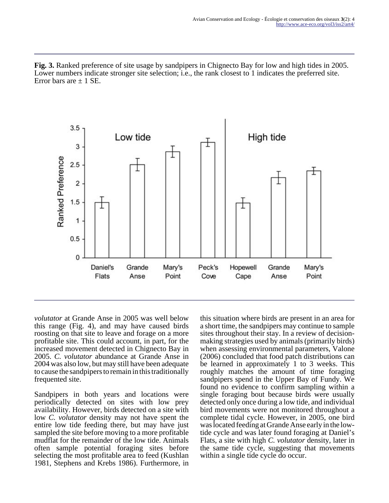**Fig. 3.** Ranked preference of site usage by sandpipers in Chignecto Bay for low and high tides in 2005. Lower numbers indicate stronger site selection; i.e., the rank closest to 1 indicates the preferred site. Error bars are  $\pm$  1 SE.



*volutator* at Grande Anse in 2005 was well below this range (Fig. 4), and may have caused birds roosting on that site to leave and forage on a more profitable site. This could account, in part, for the increased movement detected in Chignecto Bay in 2005. *C. volutator* abundance at Grande Anse in 2004 was also low, but may still have been adequate to cause the sandpipers to remain in this traditionally frequented site.

Sandpipers in both years and locations were periodically detected on sites with low prey availability. However, birds detected on a site with low *C. volutator* density may not have spent the entire low tide feeding there, but may have just sampled the site before moving to a more profitable mudflat for the remainder of the low tide. Animals often sample potential foraging sites before selecting the most profitable area to feed (Kushlan 1981, Stephens and Krebs 1986). Furthermore, in

this situation where birds are present in an area for a short time, the sandpipers may continue to sample sites throughout their stay. In a review of decisionmaking strategies used by animals (primarily birds) when assessing environmental parameters, Valone (2006) concluded that food patch distributions can be learned in approximately 1 to 3 weeks. This roughly matches the amount of time foraging sandpipers spend in the Upper Bay of Fundy. We found no evidence to confirm sampling within a single foraging bout because birds were usually detected only once during a low tide, and individual bird movements were not monitored throughout a complete tidal cycle. However, in 2005, one bird was located feeding at Grande Anse early in the lowtide cycle and was later found foraging at Daniel's Flats, a site with high *C. volutator* density, later in the same tide cycle, suggesting that movements within a single tide cycle do occur.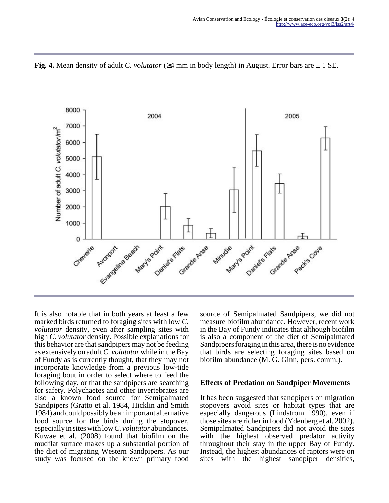**Fig. 4.** Mean density of adult *C. volutator* (≥4 mm in body length) in August. Error bars are ± 1 SE.



It is also notable that in both years at least a few marked birds returned to foraging sites with low *C. volutator* density, even after sampling sites with high *C. volutator* density. Possible explanations for this behavior are that sandpipers may not be feeding as extensively on adult *C. volutator* while in the Bay of Fundy as is currently thought, that they may not incorporate knowledge from a previous low-tide foraging bout in order to select where to feed the following day, or that the sandpipers are searching for safety. Polychaetes and other invertebrates are also a known food source for Semipalmated Sandpipers (Gratto et al. 1984, Hicklin and Smith 1984) and could possibly be an important alternative food source for the birds during the stopover, especially in sites with low *C. volutator* abundances. Kuwae et al. (2008) found that biofilm on the mudflat surface makes up a substantial portion of the diet of migrating Western Sandpipers. As our study was focused on the known primary food source of Semipalmated Sandpipers, we did not measure biofilm abundance. However, recent work in the Bay of Fundy indicates that although biofilm is also a component of the diet of Semipalmated Sandpipers foraging in this area, there is no evidence that birds are selecting foraging sites based on biofilm abundance (M. G. Ginn, pers. comm.).

#### **Effects of Predation on Sandpiper Movements**

It has been suggested that sandpipers on migration stopovers avoid sites or habitat types that are especially dangerous (Lindstrom 1990), even if those sites are richer in food (Ydenberg et al. 2002). Semipalmated Sandpipers did not avoid the sites with the highest observed predator activity throughout their stay in the upper Bay of Fundy. Instead, the highest abundances of raptors were on sites with the highest sandpiper densities,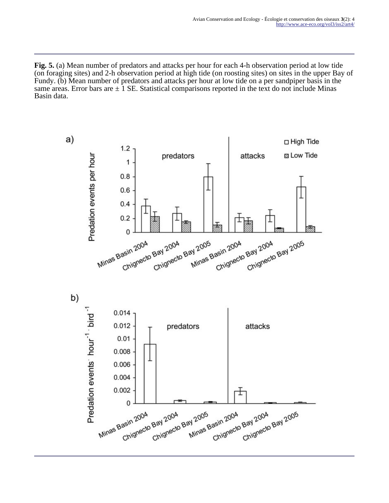**Fig. 5.** (a) Mean number of predators and attacks per hour for each 4-h observation period at low tide (on foraging sites) and 2-h observation period at high tide (on roosting sites) on sites in the upper Bay of Fundy. (b) Mean number of predators and attacks per hour at low tide on a per sandpiper basis in the same areas. Error bars are  $\pm$  1 SE. Statistical comparisons reported in the text do not include Minas Basin data.

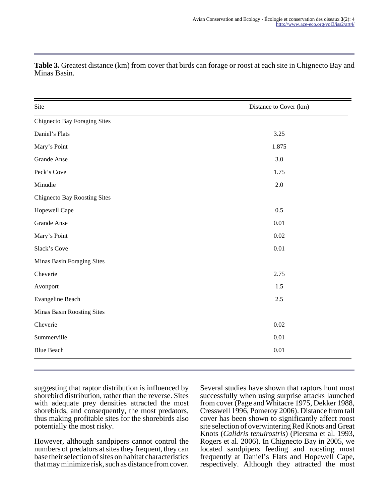| Site                                | Distance to Cover (km) |
|-------------------------------------|------------------------|
| <b>Chignecto Bay Foraging Sites</b> |                        |
| Daniel's Flats                      | 3.25                   |
| Mary's Point                        | 1.875                  |
| <b>Grande Anse</b>                  | 3.0                    |
| Peck's Cove                         | 1.75                   |
| Minudie                             | 2.0                    |
| <b>Chignecto Bay Roosting Sites</b> |                        |
| Hopewell Cape                       | 0.5                    |
| <b>Grande Anse</b>                  | $0.01\,$               |
| Mary's Point                        | 0.02                   |
| Slack's Cove                        | 0.01                   |
| Minas Basin Foraging Sites          |                        |
| Cheverie                            | 2.75                   |
| Avonport                            | 1.5                    |
| Evangeline Beach                    | 2.5                    |
| Minas Basin Roosting Sites          |                        |
| Cheverie                            | 0.02                   |
| Summerville                         | $0.01\,$               |
| <b>Blue Beach</b>                   | 0.01                   |

**Table 3.** Greatest distance (km) from cover that birds can forage or roost at each site in Chignecto Bay and Minas Basin.

suggesting that raptor distribution is influenced by shorebird distribution, rather than the reverse. Sites with adequate prey densities attracted the most shorebirds, and consequently, the most predators, thus making profitable sites for the shorebirds also potentially the most risky.

However, although sandpipers cannot control the numbers of predators at sites they frequent, they can base their selection of sites on habitat characteristics that may minimize risk, such as distance from cover.

Several studies have shown that raptors hunt most successfully when using surprise attacks launched from cover (Page and Whitacre 1975, Dekker 1988, Cresswell 1996, Pomeroy 2006). Distance from tall cover has been shown to significantly affect roost site selection of overwintering Red Knots and Great Knots (*Calidris tenuirostris*) (Piersma et al. 1993, Rogers et al. 2006). In Chignecto Bay in 2005, we located sandpipers feeding and roosting most frequently at Daniel's Flats and Hopewell Cape, respectively. Although they attracted the most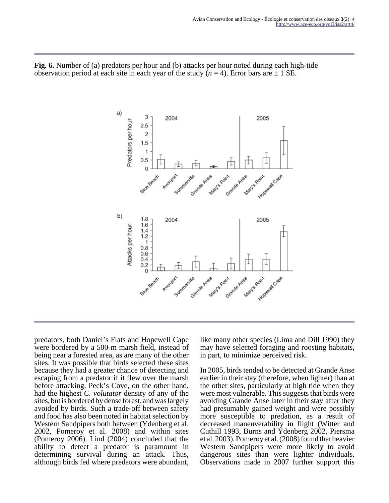**Fig. 6.** Number of (a) predators per hour and (b) attacks per hour noted during each high-tide observation period at each site in each year of the study  $(n = 4)$ . Error bars are  $\pm 1$  SE.



predators, both Daniel's Flats and Hopewell Cape were bordered by a 500-m marsh field, instead of being near a forested area, as are many of the other sites. It was possible that birds selected these sites because they had a greater chance of detecting and escaping from a predator if it flew over the marsh before attacking. Peck's Cove, on the other hand, had the highest *C. volutator* density of any of the sites, but is bordered by dense forest, and was largely avoided by birds. Such a trade-off between safety and food has also been noted in habitat selection by Western Sandpipers both between (Ydenberg et al. 2002, Pomeroy et al. 2008) and within sites (Pomeroy 2006). Lind (2004) concluded that the ability to detect a predator is paramount in determining survival during an attack. Thus, although birds fed where predators were abundant,

like many other species (Lima and Dill 1990) they may have selected foraging and roosting habitats, in part, to minimize perceived risk.

In 2005, birds tended to be detected at Grande Anse earlier in their stay (therefore, when lighter) than at the other sites, particularly at high tide when they were most vulnerable. This suggests that birds were avoiding Grande Anse later in their stay after they had presumably gained weight and were possibly more susceptible to predation, as a result of decreased maneuverability in flight (Witter and Cuthill 1993, Burns and Ydenberg 2002, Piersma et al. 2003). Pomeroy et al. (2008) found that heavier Western Sandpipers were more likely to avoid dangerous sites than were lighter individuals. Observations made in 2007 further support this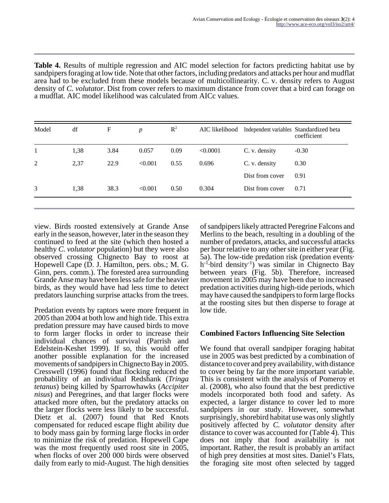| <b>Table 4.</b> Results of multiple regression and AIC model selection for factors predicting habitat use by   |
|----------------------------------------------------------------------------------------------------------------|
| sandpipers foraging at low tide. Note that other factors, including predators and attacks per hour and mudflat |
| area had to be excluded from these models because of multicollinearity. C. v. density refers to August         |
| density of C. volutator. Dist from cover refers to maximum distance from cover that a bird can forage on       |
| a mudflat. AIC model likelihood was calculated from AICc values.                                               |

|   |      |      |         |      |          |                 | coefficient |
|---|------|------|---------|------|----------|-----------------|-------------|
|   | 1,38 | 3.84 | 0.057   | 0.09 | < 0.0001 | C. v. density   | $-0.30$     |
| 2 | 2,37 | 22.9 | < 0.001 | 0.55 | 0.696    | C. v. density   | 0.30        |
|   |      |      |         |      |          | Dist from cover | 0.91        |
| 3 | 1,38 | 38.3 | < 0.001 | 0.50 | 0.304    | Dist from cover | 0.71        |

view. Birds roosted extensively at Grande Anse early in the season, however, later in the season they continued to feed at the site (which then hosted a healthy *C. volutator* population) but they were also observed crossing Chignecto Bay to roost at Hopewell Cape (D. J. Hamilton, pers. obs.; M. G. Ginn, pers. comm.). The forested area surrounding Grande Anse may have been less safe for the heavier birds, as they would have had less time to detect predators launching surprise attacks from the trees.

Predation events by raptors were more frequent in 2005 than 2004 at both low and high tide. This extra predation pressure may have caused birds to move to form larger flocks in order to increase their individual chances of survival (Parrish and Edelstein-Keshet 1999). If so, this would offer another possible explanation for the increased movements of sandpipers in Chignecto Bay in 2005. Cresswell (1996) found that flocking reduced the probability of an individual Redshank (*Tringa tetanus*) being killed by Sparrowhawks (*Accipiter nisus*) and Peregrines, and that larger flocks were attacked more often, but the predatory attacks on the larger flocks were less likely to be successful. Dietz et al. (2007) found that Red Knots compensated for reduced escape flight ability due to body mass gain by forming large flocks in order to minimize the risk of predation. Hopewell Cape was the most frequently used roost site in 2005, when flocks of over 200 000 birds were observed daily from early to mid-August. The high densities

of sandpipers likely attracted Peregrine Falcons and Merlins to the beach, resulting in a doubling of the number of predators, attacks, and successful attacks per hour relative to any other site in either year (Fig. 5a). The low-tide predation risk (predation events· h<sup>-1</sup>·bird density<sup>-1</sup>) was similar in Chignecto Bay between years (Fig. 5b). Therefore, increased movement in 2005 may have been due to increased predation activities during high-tide periods, which may have caused the sandpipers to form large flocks at the roosting sites but then disperse to forage at low tide.

## **Combined Factors Influencing Site Selection**

We found that overall sandpiper foraging habitat use in 2005 was best predicted by a combination of distance to cover and prey availability, with distance to cover being by far the more important variable. This is consistent with the analysis of Pomeroy et al. (2008), who also found that the best predictive models incorporated both food and safety. As expected, a larger distance to cover led to more sandpipers in our study. However, somewhat surprisingly, shorebird habitat use was only slightly positively affected by *C. volutator* density after distance to cover was accounted for (Table 4). This does not imply that food availability is not important. Rather, the result is probably an artifact of high prey densities at most sites. Daniel's Flats, the foraging site most often selected by tagged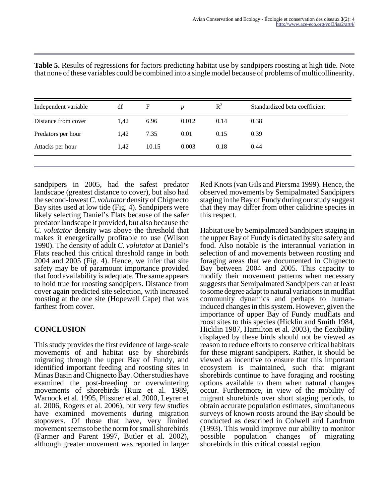| Independent variable | df   | $\mathbf F$ | D     | $\mathbb{R}^2$ | Standardized beta coefficient |
|----------------------|------|-------------|-------|----------------|-------------------------------|
| Distance from cover  | 1.42 | 6.96        | 0.012 | 0.14           | 0.38                          |
| Predators per hour   | 1,42 | 7.35        | 0.01  | 0.15           | 0.39                          |
| Attacks per hour     | 1.42 | 10.15       | 0.003 | 0.18           | 0.44                          |

**Table 5.** Results of regressions for factors predicting habitat use by sandpipers roosting at high tide. Note that none of these variables could be combined into a single model because of problems of multicollinearity.

sandpipers in 2005, had the safest predator landscape (greatest distance to cover), but also had the second-lowest *C. volutator* density of Chignecto Bay sites used at low tide (Fig. 4). Sandpipers were likely selecting Daniel's Flats because of the safer predator landscape it provided, but also because the *C. volutator* density was above the threshold that makes it energetically profitable to use (Wilson 1990). The density of adult *C. volutator* at Daniel's Flats reached this critical threshold range in both 2004 and 2005 (Fig. 4). Hence, we infer that site safety may be of paramount importance provided that food availability is adequate. The same appears to hold true for roosting sandpipers. Distance from cover again predicted site selection, with increased roosting at the one site (Hopewell Cape) that was farthest from cover.

## **CONCLUSION**

This study provides the first evidence of large-scale movements of and habitat use by shorebirds migrating through the upper Bay of Fundy, and identified important feeding and roosting sites in Minas Basin and Chignecto Bay. Other studies have examined the post-breeding or overwintering movements of shorebirds (Ruiz et al. 1989, Warnock et al. 1995, Plissner et al. 2000, Leyrer et al. 2006, Rogers et al. 2006), but very few studies have examined movements during migration stopovers. Of those that have, very limited movement seems to be the norm for small shorebirds (Farmer and Parent 1997, Butler et al. 2002), although greater movement was reported in larger

Red Knots (van Gils and Piersma 1999). Hence, the observed movements by Semipalmated Sandpipers staging in the Bay of Fundy during our study suggest that they may differ from other calidrine species in this respect.

Habitat use by Semipalmated Sandpipers staging in the upper Bay of Fundy is dictated by site safety and food. Also notable is the interannual variation in selection of and movements between roosting and foraging areas that we documented in Chignecto Bay between 2004 and 2005. This capacity to modify their movement patterns when necessary suggests that Semipalmated Sandpipers can at least to some degree adapt to natural variations in mudflat community dynamics and perhaps to humaninduced changes in this system. However, given the importance of upper Bay of Fundy mudflats and roost sites to this species (Hicklin and Smith 1984, Hicklin 1987, Hamilton et al. 2003), the flexibility displayed by these birds should not be viewed as reason to reduce efforts to conserve critical habitats for these migrant sandpipers. Rather, it should be viewed as incentive to ensure that this important ecosystem is maintained, such that migrant shorebirds continue to have foraging and roosting options available to them when natural changes occur. Furthermore, in view of the mobility of migrant shorebirds over short staging periods, to obtain accurate population estimates, simultaneous surveys of known roosts around the Bay should be conducted as described in Colwell and Landrum (1993). This would improve our ability to monitor possible population changes of migrating shorebirds in this critical coastal region.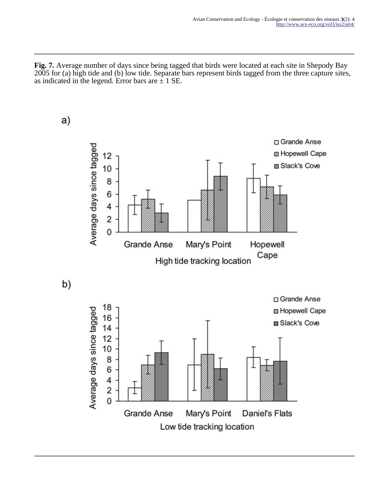**Fig. 7.** Average number of days since being tagged that birds were located at each site in Shepody Bay 2005 for (a) high tide and (b) low tide. Separate bars represent birds tagged from the three capture sites, as indicated in the legend. Error bars are  $\pm$  1 SE.

□ Grande Anse Average days since tagged S Hopewell Cape 12 **□ Slack's Cove** 10 8 6 4  $\overline{2}$  $\mathbf 0$ Mary's Point Hopewell **Grande Anse** Cape High tide tracking location b) □ Grande Anse 18 Average days since tagged S Hopewell Cape 16 Slack's Cove  $14$  $12$  $10$ 8 6 4  $\overline{c}$  $\overline{0}$ **Grande Anse** Mary's Point **Daniel's Flats** Low tide tracking location

 $a)$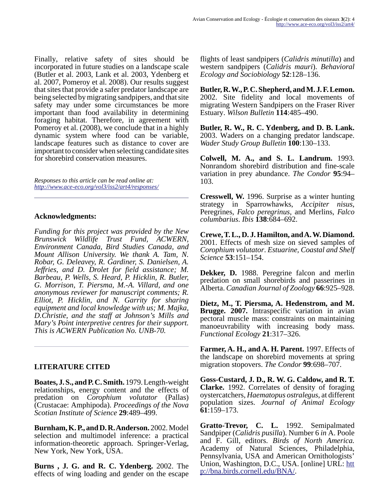Finally, relative safety of sites should be incorporated in future studies on a landscape scale (Butler et al. 2003, Lank et al. 2003, Ydenberg et al. 2007, Pomeroy et al. 2008). Our results suggest that sites that provide a safer predator landscape are being selected by migrating sandpipers, and that site safety may under some circumstances be more important than food availability in determining foraging habitat. Therefore, in agreement with Pomeroy et al. (2008), we conclude that in a highly dynamic system where food can be variable, landscape features such as distance to cover are important to consider when selecting candidate sites for shorebird conservation measures.

*Responses to this article can be read online at: <http://www.ace-eco.org/vol3/iss2/art4/responses/>*

### **Acknowledgments:**

*Funding for this project was provided by the New Brunswick Wildlife Trust Fund, ACWERN, Environment Canada, Bird Studies Canada, and Mount Allison University. We thank A. Tam, N. Robar, G. Deleavey, R. Gardiner, S. Danielsen, A. Jeffries, and D. Drolet for field assistance; M. Barbeau, P. Wells, S. Heard, P. Hicklin, R. Butler, G. Morrison, T. Piersma, M.-A. Villard, and one anonymous reviewer for manuscript comments; R. Elliot, P. Hicklin, and N. Garrity for sharing equipment and local knowledge with us; M. Majka, D.Christie, and the staff at Johnson's Mills and Mary's Point interpretive centres for their support. This is ACWERN Publication No. UNB-70.*

## **LITERATURE CITED**

**Boates, J. S., and P. C. Smith.** 1979. Length-weight relationships, energy content and the effects of predation on *Corophium volutator* (Pallas) (Crustacae: Amphipoda). *Proceedings of the Nova Scotian Institute of Science* **29**:489–499.

**Burnham, K. P., and D. R. Anderson.** 2002. Model selection and multimodel inference: a practical information-theoretic approach. Springer-Verlag, New York, New York, USA.

**Burns , J. G. and R. C. Ydenberg.** 2002. The effects of wing loading and gender on the escape flights of least sandpipers (*Calidris minutilla*) and western sandpipers (*Calidris mauri*). *Behavioral Ecology and Sociobiology* **52**:128–136.

**Butler, R. W., P. C. Shepherd, and M. J. F. Lemon.** 2002. Site fidelity and local movements of migrating Western Sandpipers on the Fraser River Estuary. *Wilson Bulletin* **114**:485–490.

**Butler, R. W., R. C. Ydenberg, and D. B. Lank.** 2003. Waders on a changing predator landscape. *Wader Study Group Bulletin* **100**:130–133.

**Colwell, M. A., and S. L. Landrum.** 1993. Nonrandom shorebird distribution and fine-scale variation in prey abundance. *The Condor* **95**:94– 103.

**Cresswell, W.** 1996. Surprise as a winter hunting strategy in Sparrowhawks, *Accipiter nisus*, Peregrines, *Falco peregrinus,* and Merlins, *Falco columbarius*. *Ibis* **138**:684–692.

**Crewe, T. L., D. J. Hamilton, and A. W. Diamond.** 2001. Effects of mesh size on sieved samples of *Corophium volutator*. *Estuarine, Coastal and Shelf Science* **53**:151–154.

**Dekker, D.** 1988. Peregrine falcon and merlin predation on small shorebirds and passerines in Alberta. *Canadian Journal of Zoology* **66**:925–928.

**Dietz, M., T. Piersma, A. Hedenstrom, and M. Brugge. 2007.** Intraspecific variation in avian pectoral muscle mass: constraints on maintaining manoeuvrability with increasing body mass. *Functional Ecology* **21**:317–326.

**Farmer, A. H., and A. H. Parent.** 1997. Effects of the landscape on shorebird movements at spring migration stopovers. *The Condor* **99**:698–707.

**Goss-Custard, J. D., R. W. G. Caldow, and R. T. Clarke.** 1992. Correlates of density of foraging oystercatchers, *Haematopus ostralegus*, at different population sizes. *Journal of Animal Ecology* **61**:159–173.

**Gratto-Trevor, C. L.** 1992. Semipalmated Sandpiper (*Calidris pusilla*). Number 6 *in* A. Poole and F. Gill, editors. *Birds of North America.* Academy of Natural Sciences, Philadelphia, Pennsylvania, USA and American Ornithologists' Union, Washington, D.C., USA. [online] URL: [htt](http://bna.birds.cornell.edu/BNA/) [p://bna.birds.cornell.edu/BNA/.](http://bna.birds.cornell.edu/BNA/)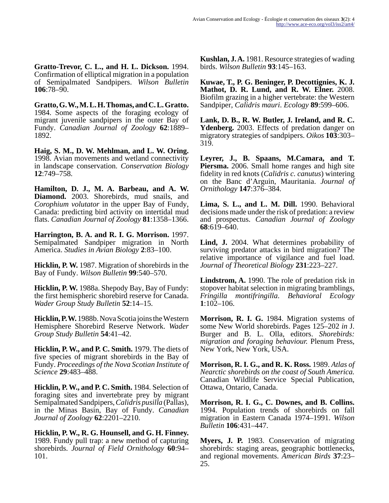**Gratto-Trevor, C. L., and H. L. Dickson.** 1994. Confirmation of elliptical migration in a population of Semipalmated Sandpipers. *Wilson Bulletin* **106**:78–90.

**Gratto, G. W., M. L. H. Thomas, and C. L. Gratto.** 1984. Some aspects of the foraging ecology of migrant juvenile sandpipers in the outer Bay of Fundy. *Canadian Journal of Zoology* **62**:1889– 1892.

**Haig, S. M., D. W. Mehlman, and L. W. Oring.** 1998. Avian movements and wetland connectivity in landscape conservation. *Conservation Biology* **12**:749–758.

**Hamilton, D. J., M. A. Barbeau, and A. W. Diamond.** 2003. Shorebirds, mud snails, and *Corophium volutator* in the upper Bay of Fundy, Canada: predicting bird activity on intertidal mud flats. *Canadian Journal of Zoology* **81**:1358–1366.

**Harrington, B. A. and R. I. G. Morrison.** 1997. Semipalmated Sandpiper migration in North America. *Studies in Avian Biology* **2**:83–100.

**Hicklin, P. W.** 1987. Migration of shorebirds in the Bay of Fundy. *Wilson Bulletin* **99**:540–570.

**Hicklin, P. W.** 1988a. Shepody Bay, Bay of Fundy: the first hemispheric shorebird reserve for Canada. *Wader Group Study Bulletin* **52**:14–15.

**Hicklin, P. W.** 1988b. Nova Scotia joins the Western Hemisphere Shorebird Reserve Network. *Wader Group Study Bulletin* **54**:41–42.

**Hicklin, P. W., and P. C. Smith.** 1979. The diets of five species of migrant shorebirds in the Bay of Fundy. *Proceedings of the Nova Scotian Institute of Science* **29**:483–488.

**Hicklin, P. W., and P. C. Smith.** 1984. Selection of foraging sites and invertebrate prey by migrant Semipalmated Sandpipers, *Calidris pusilla* (Pallas), in the Minas Basin, Bay of Fundy. *Canadian Journal of Zoology* **62**:2201–2210.

**Hicklin, P. W., R. G. Hounsell, and G. H. Finney.** 1989. Fundy pull trap: a new method of capturing shorebirds. *Journal of Field Ornithology* **60**:94– 101.

**Kushlan, J. A.** 1981. Resource strategies of wading birds. *Wilson Bulletin* **93**:145–163.

**Kuwae, T., P. G. Beninger, P. Decottignies, K. J. Mathot, D. R. Lund, and R. W. Elner.** 2008. Biofilm grazing in a higher vertebrate: the Western Sandpiper, *Calidris mauri*. *Ecology* **89**:599–606.

**Lank, D. B., R. W. Butler, J. Ireland, and R. C. Ydenberg.** 2003. Effects of predation danger on migratory strategies of sandpipers. *Oikos* **103**:303– 319.

**Leyrer, J., B. Spaans, M.Camara, and T. Piersma.** 2006. Small home ranges and high site fidelity in red knots (*Calidris c. canutus*) wintering on the Banc d'Arguin, Mauritania. *Journal of Ornithology* **147**:376–384.

**Lima, S. L., and L. M. Dill.** 1990. Behavioral decisions made under the risk of predation: a review and prospectus. *Canadian Journal of Zoology* **68**:619–640.

**Lind, J.** 2004. What determines probability of surviving predator attacks in bird migration? The relative importance of vigilance and fuel load. *Journal of Theoretical Biology* **231**:223–227.

**Lindstrom, A.** 1990. The role of predation risk in stopover habitat selection in migrating bramblings, *Fringilla montifringilla*. *Behavioral Ecology* **1**:102–106.

**Morrison, R. I. G.** 1984. Migration systems of some New World shorebirds. Pages 125–202 *in* J. Burger and B. L. Olla, editors. *Shorebirds: migration and foraging behaviour.* Plenum Press, New York, New York, USA.

**Morrison, R. I. G., and R. K. Ross.** 1989. *Atlas of Nearctic shorebirds on the coast of South America.* Canadian Wildlife Service Special Publication, Ottawa, Ontario, Canada.

**Morrison, R. I. G., C. Downes, and B. Collins.** 1994. Population trends of shorebirds on fall migration in Eastern Canada 1974–1991. *Wilson Bulletin* **106**:431–447.

**Myers, J. P.** 1983. Conservation of migrating shorebirds: staging areas, geographic bottlenecks, and regional movements. *American Birds* **37**:23– 25.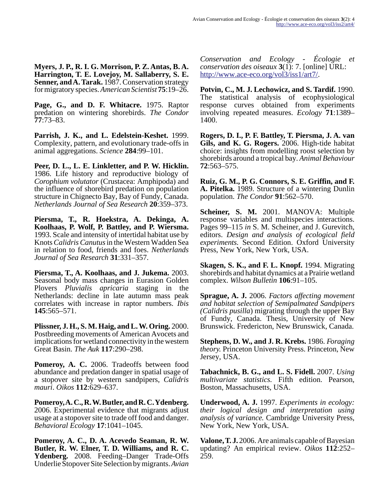**Myers, J. P., R. I. G. Morrison, P. Z. Antas, B. A. Harrington, T. E. Lovejoy, M. Sallaberry, S. E. Senner, and A. Tarak.** 1987. Conservation strategy for migratory species. *American Scientist* **75**:19–26.

**Page, G., and D. F. Whitacre.** 1975. Raptor predation on wintering shorebirds. *The Condor* **77**:73–83.

**Parrish, J. K., and L. Edelstein-Keshet.** 1999. Complexity, pattern, and evolutionary trade-offs in animal aggregations. *Science* **284**:99–101.

**Peer, D. L., L. E. Linkletter, and P. W. Hicklin.** 1986. Life history and reproductive biology of *Corophium volutator* (Crustacea: Amphipoda) and the influence of shorebird predation on population structure in Chignecto Bay, Bay of Fundy, Canada. *Netherlands Journal of Sea Research* **20**:359–373.

**Piersma, T., R. Hoekstra, A. Dekinga, A. Koolhaas, P. Wolf, P. Battley, and P. Wiersma.** 1993. Scale and intensity of intertidal habitat use by Knots *Calidris Canutus* in the Western Wadden Sea in relation to food, friends and foes. *Netherlands Journal of Sea Research* **31**:331–357.

**Piersma, T., A. Koolhaas, and J. Jukema.** 2003. Seasonal body mass changes in Eurasion Golden Plovers *Pluvialis apricaria* staging in the Netherlands: decline in late autumn mass peak correlates with increase in raptor numbers. *Ibis* **145**:565–571.

**Plissner, J. H., S. M. Haig, and L. W. Oring.** 2000. Postbreeding movements of American Avocets and implications for wetland connectivity in the western Great Basin. *The Auk* **117**:290–298.

**Pomeroy, A. C.** 2006. Tradeoffs between food abundance and predation danger in spatial usage of a stopover site by western sandpipers, *Calidris mauri*. *Oikos* **112**:629–637.

**Pomeroy, A. C., R. W. Butler, and R. C. Ydenberg.** 2006. Experimental evidence that migrants adjust usage at a stopover site to trade off food and danger. *Behavioral Ecology* **17**:1041–1045.

**Pomeroy, A. C., D. A. Acevedo Seaman, R. W. Butler, R. W. Elner, T. D. Williams, and R. C. Ydenberg.** 2008. Feeding–Danger Trade-Offs Underlie Stopover Site Selection by migrants. *Avian*

*Conservation and Ecology - Écologie et conservation des oiseaux* **3**(1): 7. [online] URL: <http://www.ace-eco.org/vol3/iss1/art7/>.

**Potvin, C., M. J. Lechowicz, and S. Tardif.** 1990. The statistical analysis of ecophysiological response curves obtained from experiments involving repeated measures. *Ecology* **71**:1389– 1400.

**Rogers, D. I., P. F. Battley, T. Piersma, J. A. van Gils, and K. G. Rogers.** 2006. High-tide habitat choice: insights from modelling roost selection by shorebirds around a tropical bay. *Animal Behaviour* **72**:563–575.

**Ruiz, G. M., P. G. Connors, S. E. Griffin, and F. A. Pitelka.** 1989. Structure of a wintering Dunlin population. *The Condor* **91**:562–570.

**Scheiner, S. M.** 2001. MANOVA: Multiple response variables and multispecies interactions. Pages 99–115 *in* S. M. Scheiner, and J. Gurevitch, editors. *Design and analysis of ecological field experiments.* Second Edition. Oxford University Press, New York, New York, USA.

**Skagen, S. K., and F. L. Knopf.** 1994. Migrating shorebirds and habitat dynamics at a Prairie wetland complex. *Wilson Bulletin* **106**:91–105.

**Sprague, A. J.** 2006. *Factors affecting movement and habitat selection of Semipalmated Sandpipers (Calidris pusilla*) migrating through the upper Bay of Fundy, Canada. Thesis, University of New Brunswick. Fredericton, New Brunswick, Canada.

**Stephens, D. W., and J. R. Krebs.** 1986. *Foraging theory.* Princeton University Press. Princeton, New Jersey, USA.

**Tabachnick, B. G., and L. S. Fidell.** 2007. *Using multivariate statistics.* Fifth edition. Pearson, Boston, Massachusetts, USA.

**Underwood, A. J.** 1997. *Experiments in ecology: their logical design and interpretation using analysis of variance.* Cambridge University Press, New York, New York, USA.

**Valone, T. J.** 2006. Are animals capable of Bayesian updating? An empirical review. *Oikos* **112**:252– 259.